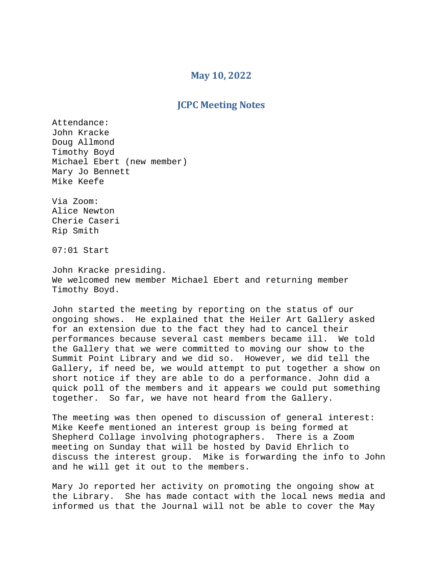## **May 10, 2022**

## **JCPC Meeting Notes**

Attendance: John Kracke Doug Allmond Timothy Boyd Michael Ebert (new member) Mary Jo Bennett Mike Keefe

Via Zoom: Alice Newton Cherie Caseri Rip Smith

07:01 Start

John Kracke presiding. We welcomed new member Michael Ebert and returning member Timothy Boyd.

John started the meeting by reporting on the status of our ongoing shows. He explained that the Heiler Art Gallery asked for an extension due to the fact they had to cancel their performances because several cast members became ill. We told the Gallery that we were committed to moving our show to the Summit Point Library and we did so. However, we did tell the Gallery, if need be, we would attempt to put together a show on short notice if they are able to do a performance. John did a quick poll of the members and it appears we could put something together. So far, we have not heard from the Gallery.

The meeting was then opened to discussion of general interest: Mike Keefe mentioned an interest group is being formed at Shepherd Collage involving photographers. There is a Zoom meeting on Sunday that will be hosted by David Ehrlich to discuss the interest group. Mike is forwarding the info to John and he will get it out to the members.

Mary Jo reported her activity on promoting the ongoing show at the Library. She has made contact with the local news media and informed us that the Journal will not be able to cover the May